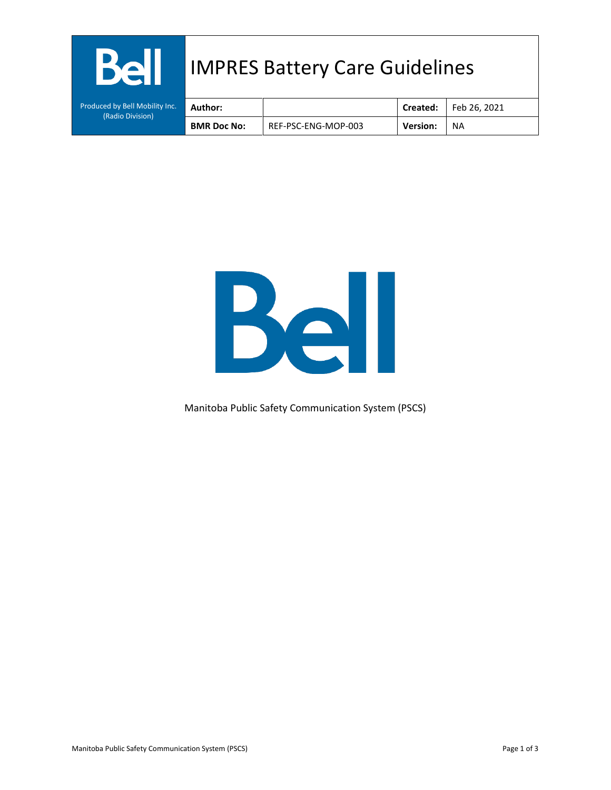| <b>Bell</b>                                        |                    | <b>IMPRES Battery Care Guidelines</b> |                 |              |
|----------------------------------------------------|--------------------|---------------------------------------|-----------------|--------------|
| Produced by Bell Mobility Inc.<br>(Radio Division) | Author:            |                                       | Created:        | Feb 26, 2021 |
|                                                    | <b>BMR Doc No:</b> | REF-PSC-ENG-MOP-003                   | <b>Version:</b> | NA           |



Manitoba Public Safety Communication System (PSCS)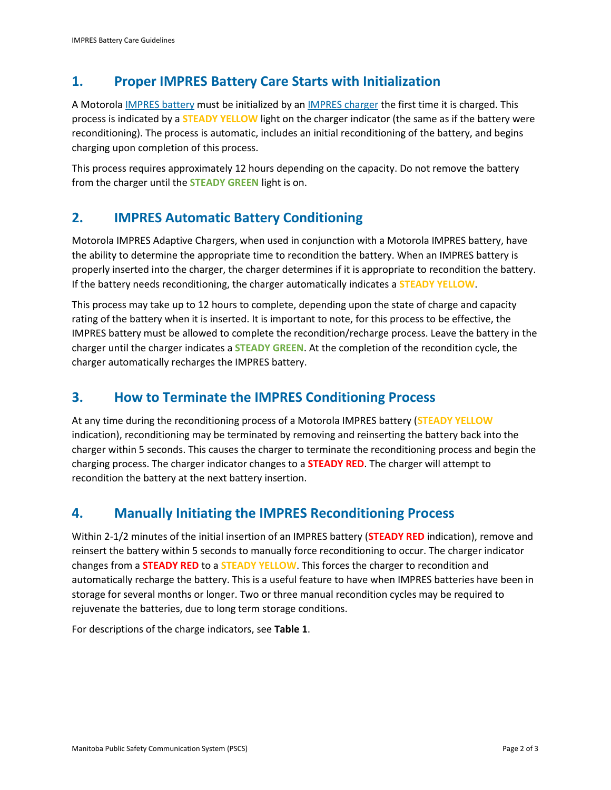## **1. Proper IMPRES Battery Care Starts with Initialization**

A Motorol[a IMPRES battery](http://www.magnumelectronics.com/Batteries-for-Motorola-Radios-s/10747.htm) must be initialized by a[n IMPRES charger](http://www.magnumelectronics.com/motorola-impres-conditioning-chargers-s/7583.htm) the first time it is charged. This process is indicated by a **STEADY YELLOW** light on the charger indicator (the same as if the battery were reconditioning). The process is automatic, includes an initial reconditioning of the battery, and begins charging upon completion of this process.

This process requires approximately 12 hours depending on the capacity. Do not remove the battery from the charger until the **STEADY GREEN** light is on.

# **2. IMPRES Automatic Battery Conditioning**

Motorola IMPRES Adaptive Chargers, when used in conjunction with a Motorola IMPRES battery, have the ability to determine the appropriate time to recondition the battery. When an IMPRES battery is properly inserted into the charger, the charger determines if it is appropriate to recondition the battery. If the battery needs reconditioning, the charger automatically indicates a **STEADY YELLOW**.

This process may take up to 12 hours to complete, depending upon the state of charge and capacity rating of the battery when it is inserted. It is important to note, for this process to be effective, the IMPRES battery must be allowed to complete the recondition/recharge process. Leave the battery in the charger until the charger indicates a **STEADY GREEN**. At the completion of the recondition cycle, the charger automatically recharges the IMPRES battery.

### **3. How to Terminate the IMPRES Conditioning Process**

At any time during the reconditioning process of a Motorola IMPRES battery (**STEADY YELLOW** indication), reconditioning may be terminated by removing and reinserting the battery back into the charger within 5 seconds. This causes the charger to terminate the reconditioning process and begin the charging process. The charger indicator changes to a **STEADY RED**. The charger will attempt to recondition the battery at the next battery insertion.

# **4. Manually Initiating the IMPRES Reconditioning Process**

Within 2-1/2 minutes of the initial insertion of an IMPRES battery (**STEADY RED** indication), remove and reinsert the battery within 5 seconds to manually force reconditioning to occur. The charger indicator changes from a **STEADY RED** to a **STEADY YELLOW**. This forces the charger to recondition and automatically recharge the battery. This is a useful feature to have when IMPRES batteries have been in storage for several months or longer. Two or three manual recondition cycles may be required to rejuvenate the batteries, due to long term storage conditions.

For descriptions of the charge indicators, see **[Table 1](#page-2-0)**.